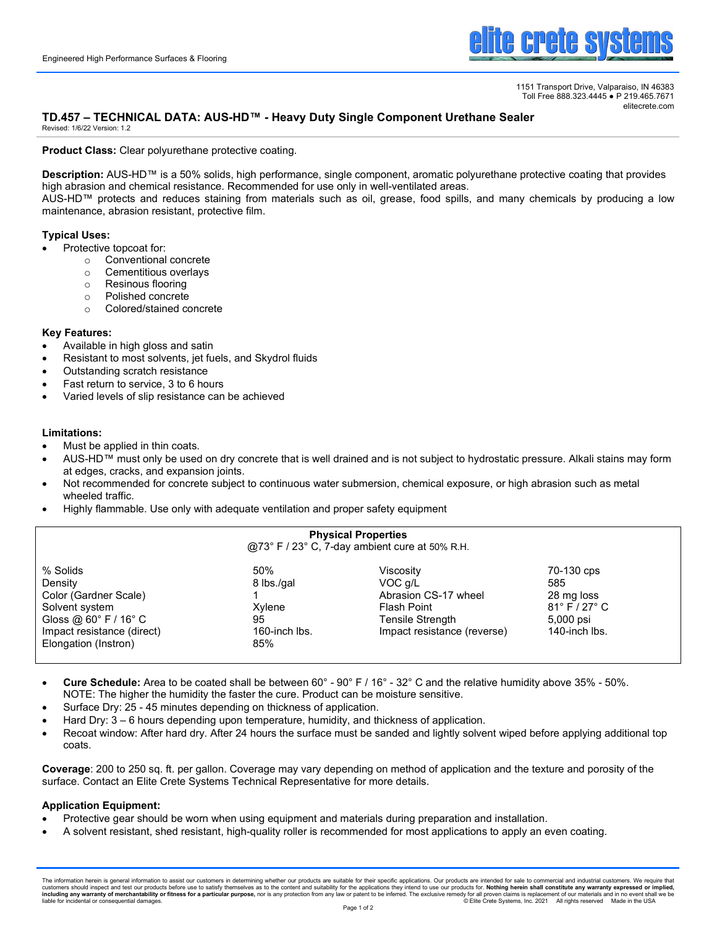

1151 Transport Drive, Valparaiso, IN 46383 Toll Free 888.323.4445 ● P 219.465.7671 elitecrete.com

# **TD.457 – TECHNICAL DATA: AUS-HD™ - Heavy Duty Single Component Urethane Sealer**

Revised: 1/6/22 Version: 1.2

**Product Class:** Clear polyurethane protective coating.

**Description:** AUS-HD™ is a 50% solids, high performance, single component, aromatic polyurethane protective coating that provides high abrasion and chemical resistance. Recommended for use only in well-ventilated areas.

AUS-HD™ protects and reduces staining from materials such as oil, grease, food spills, and many chemicals by producing a low maintenance, abrasion resistant, protective film.

# **Typical Uses:**

- Protective topcoat for:
	- $\circ$  Conventional concrete<br>  $\circ$  Cementitious overlavs
	- Cementitious overlays
	- o Resinous flooring
	- o Polished concrete
	- o Colored/stained concrete

#### **Key Features:**

- Available in high gloss and satin
- Resistant to most solvents, jet fuels, and Skydrol fluids
- Outstanding scratch resistance
- Fast return to service, 3 to 6 hours
- Varied levels of slip resistance can be achieved

# **Limitations:**

- Must be applied in thin coats.
- AUS-HD™ must only be used on dry concrete that is well drained and is not subject to hydrostatic pressure. Alkali stains may form at edges, cracks, and expansion joints.
- Not recommended for concrete subject to continuous water submersion, chemical exposure, or high abrasion such as metal wheeled traffic.
- Highly flammable. Use only with adequate ventilation and proper safety equipment

| <b>Physical Properties</b><br>@73° F / 23° C, 7-day ambient cure at 50% R.H.                  |                             |                                                                    |                                                                     |
|-----------------------------------------------------------------------------------------------|-----------------------------|--------------------------------------------------------------------|---------------------------------------------------------------------|
| % Solids<br>Density<br>Color (Gardner Scale)<br>Solvent system                                | 50%<br>8 lbs./gal<br>Xylene | Viscositv<br>VOC a/L<br>Abrasion CS-17 wheel<br><b>Flash Point</b> | 70-130 cps<br>585<br>28 mg loss<br>$81^{\circ}$ F / 27 $^{\circ}$ C |
| Gloss @ $60^{\circ}$ F / $16^{\circ}$ C<br>Impact resistance (direct)<br>Elongation (Instron) | 95<br>160-inch lbs.<br>85%  | Tensile Strength<br>Impact resistance (reverse)                    | 5,000 psi<br>140-inch lbs.                                          |

- **Cure Schedule:** Area to be coated shall be between 60° 90° F / 16° 32° C and the relative humidity above 35% 50%. NOTE: The higher the humidity the faster the cure. Product can be moisture sensitive.
- Surface Dry: 25 45 minutes depending on thickness of application.
- Hard Dry: 3 6 hours depending upon temperature, humidity, and thickness of application.
- Recoat window: After hard dry. After 24 hours the surface must be sanded and lightly solvent wiped before applying additional top coats.

**Coverage**: 200 to 250 sq. ft. per gallon. Coverage may vary depending on method of application and the texture and porosity of the surface. Contact an Elite Crete Systems Technical Representative for more details.

# **Application Equipment:**

- Protective gear should be worn when using equipment and materials during preparation and installation.
- A solvent resistant, shed resistant, high-quality roller is recommended for most applications to apply an even coating.

The information herein is general information to assist our customers in determining whether our products are suitable for their specific applications. Our products are intended for sale to commercial and industrial custom liable for incidental or consequential damages. © Elite Crete Systems, Inc. 2021 All rights reserved Made in the USA